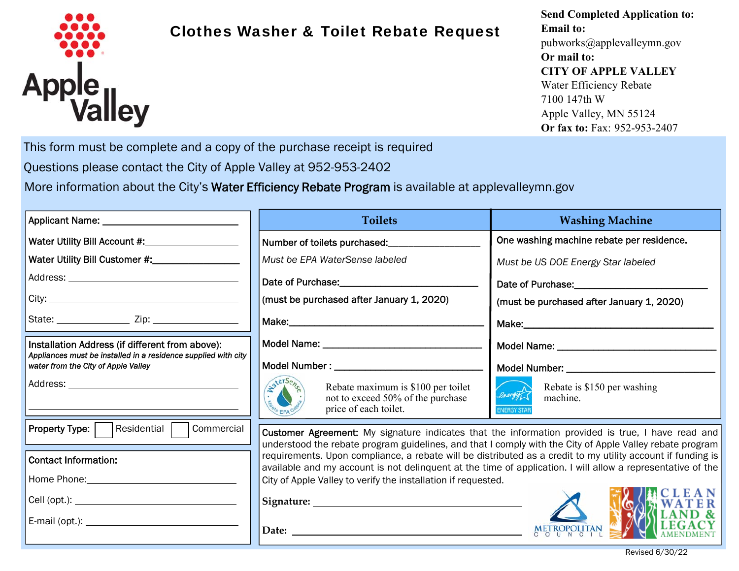

## Clothes Washer & Toilet Rebate Request

**Send Completed Application to: Email to:** pubworks@applevalleymn.gov**Or mail to: CITY OF APPLE VALLEY**Water Efficiency Rebate7100 147th W Apple Valley, MN 55124 **Or fax to:** Fax: 952-953-2407

This form must be complete and a copy of the purchase receipt is required

Questions please contact the City of Apple Valley at 952-953-2402

More information about the City's **Water Efficiency Rebate Program** is available at applevalleymn.gov

| Applicant Name: Name: Name and Applicant Name and Applicant Name and Applicant Manuscript Control of Applicant Applicant Control of Applicant Control of Applicant Control of Applicant Control of Applicant Control of Applic | <b>Toilets</b>                                                                                   | <b>Washing Machine</b>                                                                                                                                                                                                         |
|--------------------------------------------------------------------------------------------------------------------------------------------------------------------------------------------------------------------------------|--------------------------------------------------------------------------------------------------|--------------------------------------------------------------------------------------------------------------------------------------------------------------------------------------------------------------------------------|
|                                                                                                                                                                                                                                | Number of toilets purchased:                                                                     | One washing machine rebate per residence.                                                                                                                                                                                      |
|                                                                                                                                                                                                                                | Must be EPA WaterSense labeled                                                                   | Must be US DOE Energy Star labeled                                                                                                                                                                                             |
|                                                                                                                                                                                                                                | Date of Purchase: Date of Purchase:                                                              | Date of Purchase: Date of Purchase:                                                                                                                                                                                            |
|                                                                                                                                                                                                                                | (must be purchased after January 1, 2020)                                                        | (must be purchased after January 1, 2020)                                                                                                                                                                                      |
|                                                                                                                                                                                                                                |                                                                                                  | Make: National Contract of the Maker Street and Street and Street and Street and Street and Street and Street and Street and Street and Street and Street and Street and Street and Street and Street and Street and Street an |
| Installation Address (if different from above):                                                                                                                                                                                |                                                                                                  |                                                                                                                                                                                                                                |
| Appliances must be installed in a residence supplied with city<br>water from the City of Apple Valley                                                                                                                          |                                                                                                  |                                                                                                                                                                                                                                |
|                                                                                                                                                                                                                                | Rebate maximum is \$100 per toilet<br>not to exceed 50% of the purchase<br>price of each toilet. | Rebate is \$150 per washing<br>energy<br>machine.<br><b>ENERGY STAF</b>                                                                                                                                                        |
| Property Type:  <br>Residential<br>Commercial                                                                                                                                                                                  |                                                                                                  | <b>Customer Agreement:</b> My signature indicates that the information provided is true, I have read and                                                                                                                       |
|                                                                                                                                                                                                                                |                                                                                                  | understood the rebate program guidelines, and that I comply with the City of Apple Valley rebate program<br>requirements. Upon compliance, a rebate will be distributed as a credit to my utility account if funding is        |
| <b>Contact Information:</b>                                                                                                                                                                                                    |                                                                                                  | available and my account is not delinquent at the time of application. I will allow a representative of the                                                                                                                    |
|                                                                                                                                                                                                                                | City of Apple Valley to verify the installation if requested.                                    |                                                                                                                                                                                                                                |
|                                                                                                                                                                                                                                |                                                                                                  |                                                                                                                                                                                                                                |
|                                                                                                                                                                                                                                |                                                                                                  | METROPOLITAN                                                                                                                                                                                                                   |